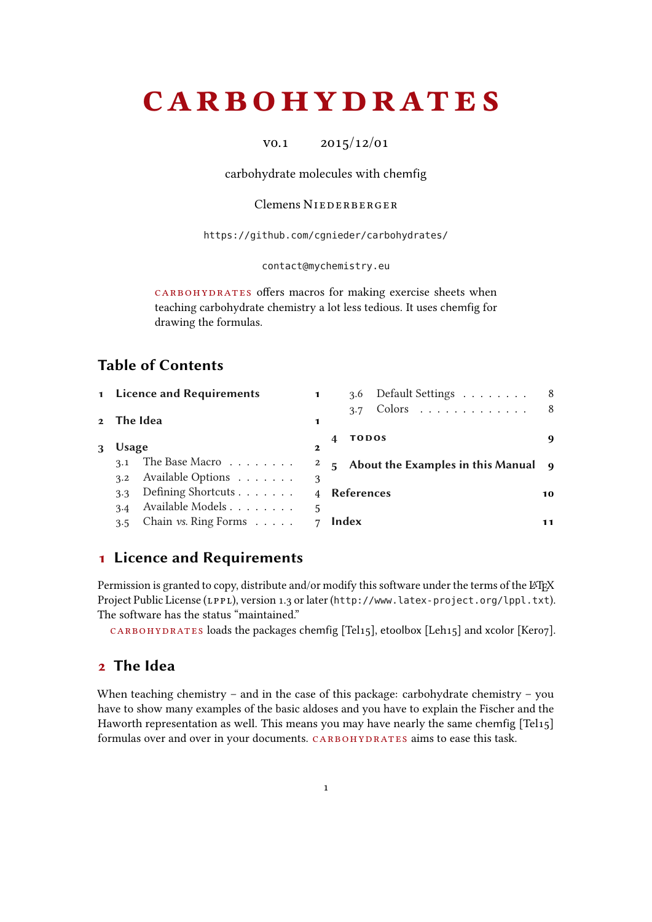# <span id="page-0-2"></span>**CARBOHYDRATES**

v0.1 2015/12/01

carbohydrate molecules with chemfig

### Clemens NIEDERBERGER

<https://github.com/cgnieder/carbohydrates/>

#### [contact@mychemistry.eu](mailto:contact@mychemistry.eu)

CARBOHYDRATES offers macros for making exercise sheets when teaching carbohydrate chemistry a lot less tedious. It uses chemfig for drawing the formulas.

# Table of Contents

|            | 1 Licence and Requirements                 |                | 3.6 Default Settings                  | 8   |
|------------|--------------------------------------------|----------------|---------------------------------------|-----|
| 2 The Idea |                                            | 1              | Colors<br>3.7                         | - 8 |
| Usage      |                                            | $\mathbf{2}$   | <b>TODOS</b>                          | 9   |
| 3.1        | The Base Macro                             | 2              | 5 About the Examples in this Manual 9 |     |
| 3.2        | Available Options                          | 3              |                                       |     |
| 3.3        | Defining Shortcuts                         | $\overline{4}$ | References                            | 10  |
| 3.4        | Available Models                           | 5              |                                       |     |
| 3.5        | Chain $\mathit{vs.}$ Ring Forms $\ldots$ . |                | Index                                 | 11  |

# <span id="page-0-0"></span>1 Licence and Requirements

Permission is granted to copy, distribute and/or modify this software under the terms of the LATEX Project Public License (LPPL), version 1.3 or later (<http://www.latex-project.org/lppl.txt>). The software has the status "maintained."

 $CARBOHYDRATES$  loads the packages chemfig [Tel15], etoolbox [Leh15] and xcolor [Kero7].

# <span id="page-0-1"></span>2 The Idea

When teaching chemistry – and in the case of this package: carbohydrate chemistry – you have to show many examples of the basic aldoses and you have to explain the Fischer and the Haworth representation as well. This means you may have nearly the same chemfig [Tel15] formulas over and over in your documents. CARBOHYDRATES aims to ease this task.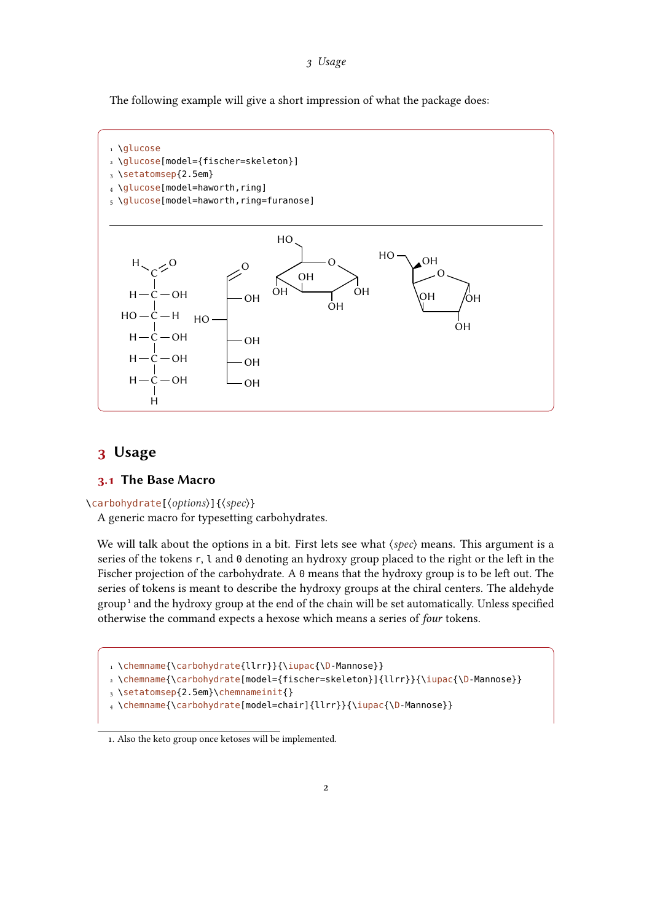<span id="page-1-3"></span>The following example will give a short impression of what the package does:



# <span id="page-1-0"></span>3 Usage

### <span id="page-1-1"></span>3.1 The Base Macro

 $\langle$ carbohydrate[ $\langle$ options $\rangle$ ]{ $\langle$ spec $\rangle$ }

A generic macro for typesetting carbohydrates.

We will talk about the options in a bit. First lets see what  $\langle spec \rangle$  means. This argument is a series of the tokens r, l and 0 denoting an hydroxy group placed to the right or the left in the Fischer projection of the carbohydrate. A 0 means that the hydroxy group is to be left out. The series of tokens is meant to describe the hydroxy groups at the chiral centers. The aldehyde grou[p](#page-1-2)<sup>1</sup> and the hydroxy group at the end of the chain will be set automatically. Unless specified otherwise the command expects a hexose which means a series of four tokens.

1 \chemname{\carbohydrate{llrr}}{\iupac{\D-Mannose}}

```
2 \chemname{\carbohydrate[model={fischer=skeleton}]{llrr}}{\iupac{\D-Mannose}}
```
3 \setatomsep{2.5em}\chemnameinit{}

```
4 \chemname{\carbohydrate[model=chair]{llrr}}{\iupac{\D-Mannose}}
```
<span id="page-1-2"></span><sup>1.</sup> Also the keto group once ketoses will be implemented.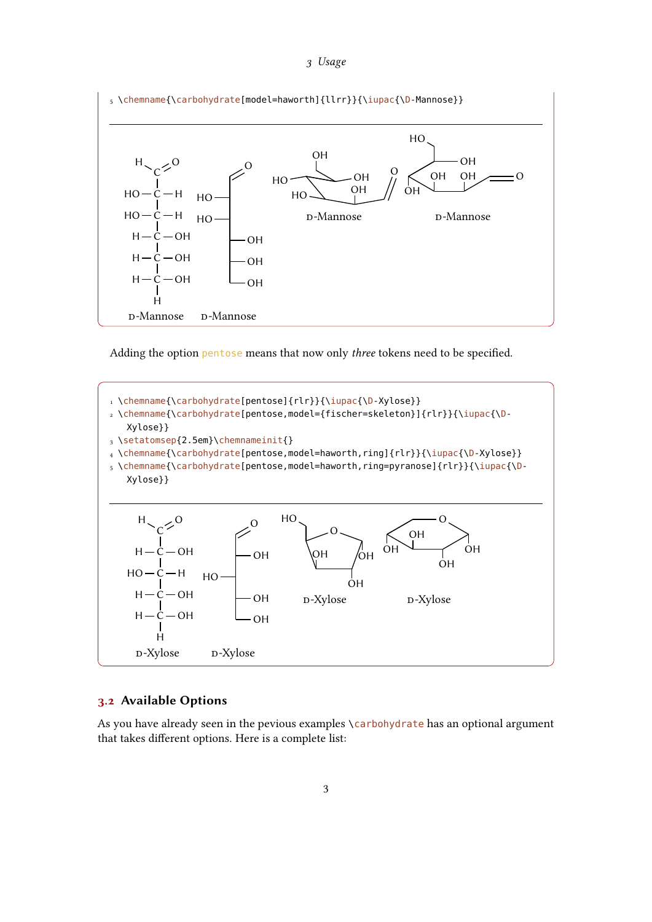<span id="page-2-1"></span>

Adding the option pentose means that now only three tokens need to be specified.



### <span id="page-2-0"></span>3.2 Available Options

As you have already seen in the pevious examples \carbohydrate has an optional argument that takes different options. Here is a complete list: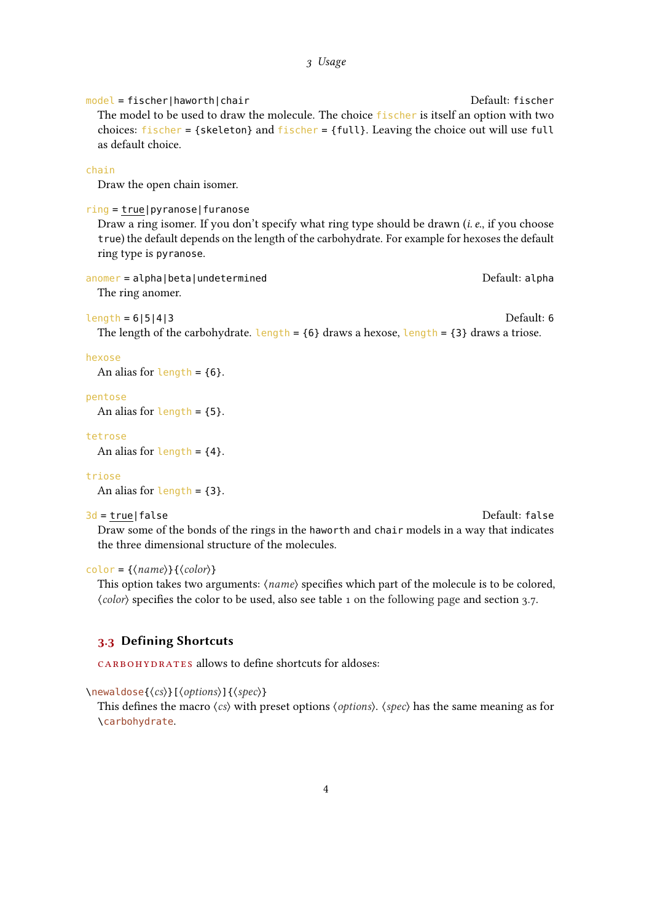<span id="page-3-1"></span>model = fischer|haworth|chair Default: fischer The model to be used to draw the molecule. The choice fischer is itself an option with two choices: fischer = {skeleton} and fischer = {full}. Leaving the choice out will use full as default choice.

#### chain

Draw the open chain isomer.

#### ring = true|pyranose|furanose

Draw a ring isomer. If you don't specify what ring type should be drawn (*i.e.*, if you choose true) the default depends on the length of the carbohydrate. For example for hexoses the default ring type is pyranose.

anomer = alpha|beta|undetermined default: alpha Default: alpha

The ring anomer.

#### length = 6|5|4|3 Default: 6

The length of the carbohydrate. Length =  ${6}$  draws a hexose, length =  ${3}$  draws a triose.

#### hexose

An alias for length =  ${6}$ .

#### pentose

An alias for  $length = \{5\}$ .

### tetrose

An alias for length =  ${4}$ .

#### triose

An alias for  $length = \{3\}.$ 

#### 3d = true|false Default: false

Draw some of the bonds of the rings in the haworth and chair models in a way that indicates the three dimensional structure of the molecules.

#### $color{right}$  = { $\langle name \rangle$ } { $\langle color \rangle$ }

This option takes two arguments:  $\langle name \rangle$  specifies which part of the molecule is to be colored,  $\langle color \rangle$  specifies the color to be used, also see table [1 on the following page](#page-4-1) and section [3.7.](#page-7-1)

### <span id="page-3-0"></span>3.3 Defining Shortcuts

CARBOHYDRATES allows to define shortcuts for aldoses:

 $\{\newcommand{\ss}{\ssim}{\text{newaldose}}\{\langle cs\rangle\}$  [ $\{\text{options}\}$ ] { $\{\text{spec}\}$ ]

This defines the macro  $\langle cs \rangle$  with preset options  $\langle options \rangle$ .  $\langle spec \rangle$  has the same meaning as for \carbohydrate.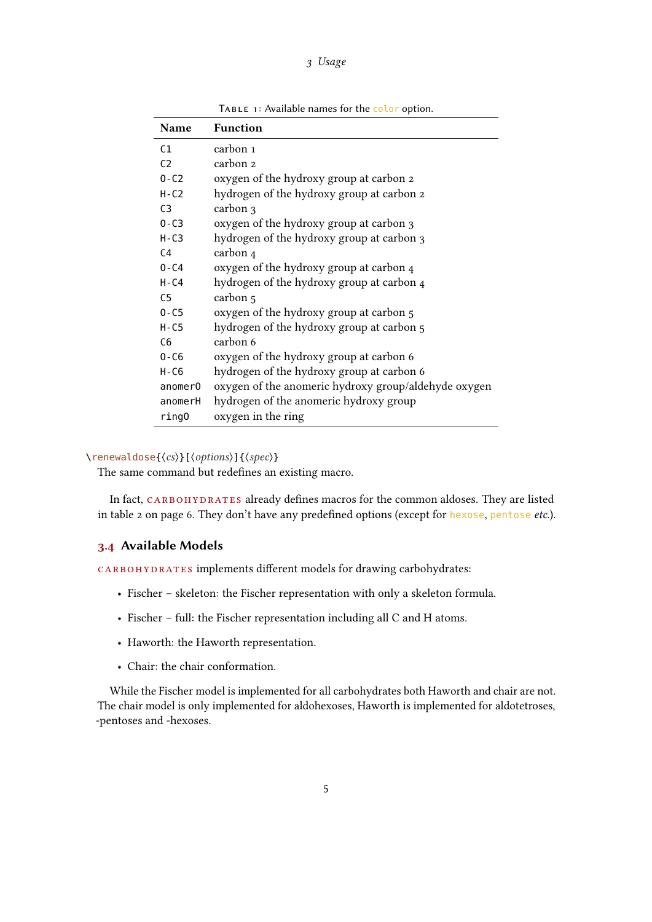<span id="page-4-2"></span>

| <b>Name</b>    | <b>Function</b>                                      |
|----------------|------------------------------------------------------|
| C1             | carbon 1                                             |
| C <sub>2</sub> | carbon 2                                             |
| $0 - C2$       | oxygen of the hydroxy group at carbon 2              |
| $H-C2$         | hydrogen of the hydroxy group at carbon 2            |
| C <sub>3</sub> | carbon 3                                             |
| $0 - C3$       | oxygen of the hydroxy group at carbon 3              |
| $H - C3$       | hydrogen of the hydroxy group at carbon 3            |
| C <sub>4</sub> | carbon 4                                             |
| $0 - C4$       | oxygen of the hydroxy group at carbon 4              |
| $H - C4$       | hydrogen of the hydroxy group at carbon 4            |
| C <sub>5</sub> | carbon 5                                             |
| $0 - C5$       | oxygen of the hydroxy group at carbon 5              |
| $H - C5$       | hydrogen of the hydroxy group at carbon 5            |
| C <sub>6</sub> | carbon 6                                             |
| $0 - C6$       | oxygen of the hydroxy group at carbon 6              |
| H-C6           | hydrogen of the hydroxy group at carbon 6            |
| anomerO        | oxygen of the anomeric hydroxy group/aldehyde oxygen |
| anomerH        | hydrogen of the anomeric hydroxy group               |
| ring0          | oxygen in the ring                                   |

<span id="page-4-1"></span>TABLE 1: Available names for the color option.

 $\text{Tenewaldose}(\cos)$ [ $\text{options}$ ]{ $\text{spec}$ }

The same command but redefines an existing macro.

In fact, CARBOHYDRATES already defines macros for the common aldoses. They are listed in table [2](#page-5-0) on page [6.](#page-5-0) They don't have any predefined options (except for hexose, pentose etc.).

### <span id="page-4-0"></span>3.4 Available Models

CARBOHYDRATES implements different models for drawing carbohydrates:

- Fischer skeleton: the Fischer representation with only a skeleton formula.
- Fischer full: the Fischer representation including all C and H atoms.
- Haworth: the Haworth representation.
- Chair: the chair conformation.

While the Fischer model is implemented for all carbohydrates both Haworth and chair are not. The chair model is only implemented for aldohexoses, Haworth is implemented for aldotetroses, -pentoses and -hexoses.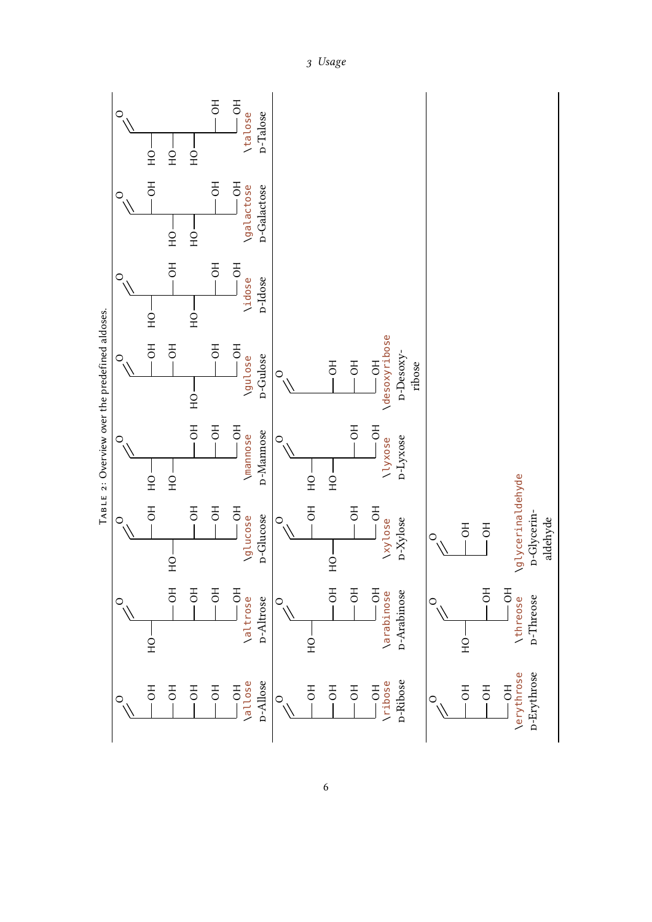<span id="page-5-1"></span><span id="page-5-0"></span>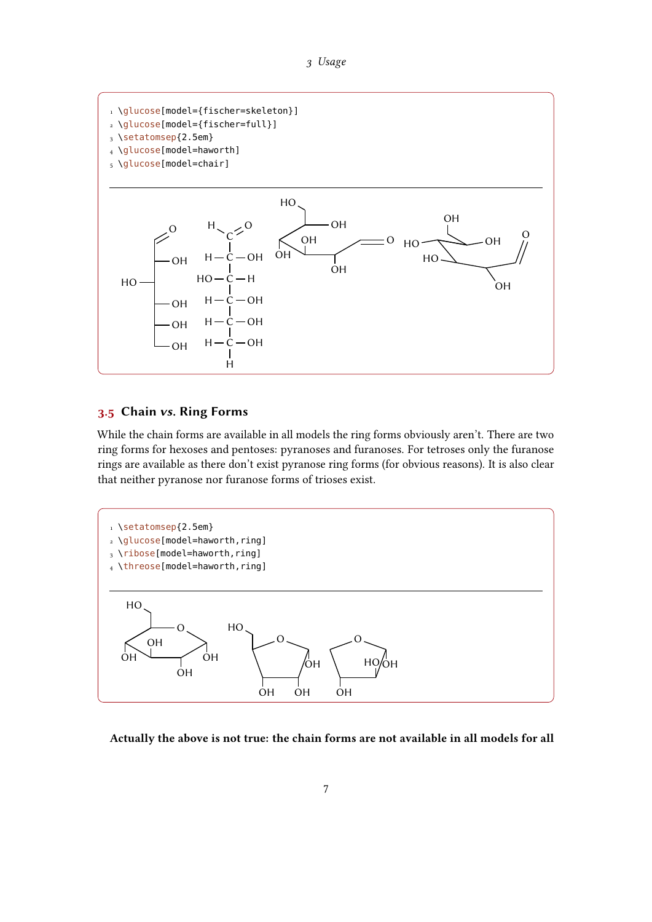



### <span id="page-6-0"></span>3.5 Chain vs. Ring Forms

While the chain forms are available in all models the ring forms obviously aren't. There are two ring forms for hexoses and pentoses: pyranoses and furanoses. For tetroses only the furanose rings are available as there don't exist pyranose ring forms (for obvious reasons). It is also clear that neither pyranose nor furanose forms of trioses exist.



Actually the above is not true: the chain forms are not available in all models for all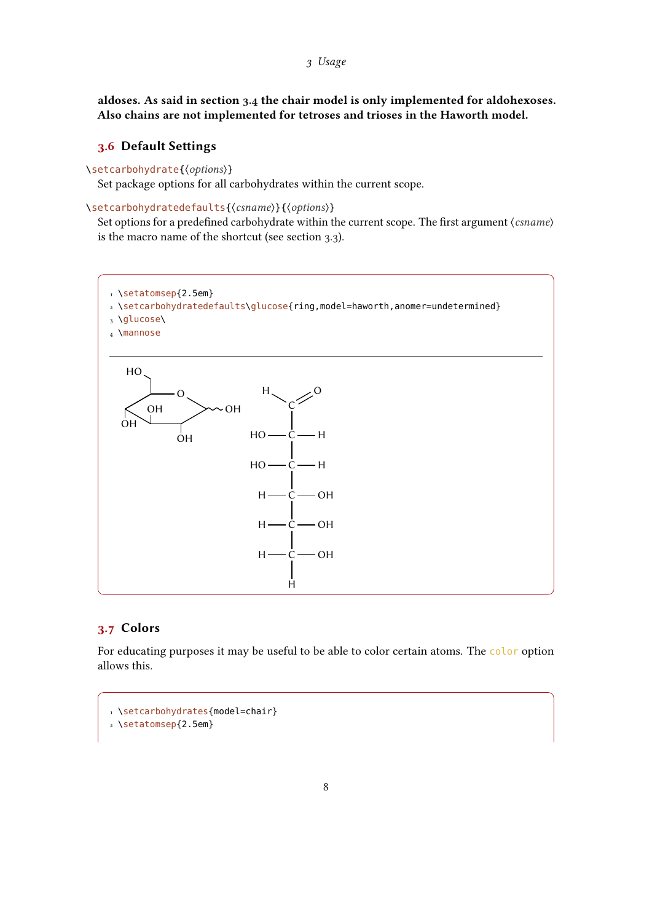<span id="page-7-2"></span>aldoses. As said in section [3.4](#page-4-0) the chair model is only implemented for aldohexoses. Also chains are not implemented for tetroses and trioses in the Haworth model.

### <span id="page-7-0"></span>3.6 Default Settings

\setcarbohydrate{\options\}

Set package options for all carbohydrates within the current scope.

\setcarbohydratedefaults{\csname}}{\options}}

Set options for a predefined carbohydrate within the current scope. The first argument  $\langle \text{csname} \rangle$ is the macro name of the shortcut (see section [3.3\)](#page-3-0).



# <span id="page-7-1"></span>3.7 Colors

For educating purposes it may be useful to be able to color certain atoms. The color option allows this.

```
1 \setcarbohydrates{model=chair}
```

```
2 \setatomsep{2.5em}
```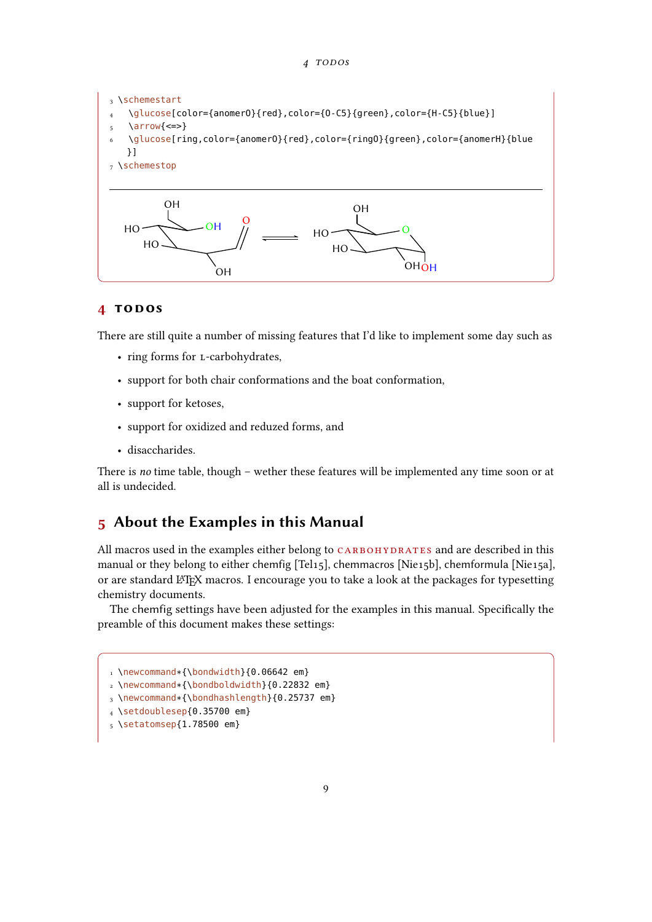#### 4 TODOS

<span id="page-8-2"></span>

## <span id="page-8-0"></span>4 todos

There are still quite a number of missing features that I'd like to implement some day such as

- ring forms for L-carbohydrates,
- support for both chair conformations and the boat conformation,
- support for ketoses,
- support for oxidized and reduzed forms, and
- disaccharides.

There is no time table, though – wether these features will be implemented any time soon or at all is undecided.

# <span id="page-8-1"></span>5 About the Examples in this Manual

All macros used in the examples either belong to CARBOHYDRATES and are described in this manual or they belong to either chemfig [Tel15], chemmacros [Nie15b], chemformula [Nie15a], or are standard LATEX macros. I encourage you to take a look at the packages for typesetting chemistry documents.

The chemfig settings have been adjusted for the examples in this manual. Specifically the preamble of this document makes these settings:

```
1 \newcommand*{\bondwidth}{0.06642 em}
```
- <sup>2</sup> \newcommand\*{\bondboldwidth}{0.22832 em}
- <sup>3</sup> \newcommand\*{\bondhashlength}{0.25737 em}

<sup>4</sup> \setdoublesep{0.35700 em}

<sup>5</sup> \setatomsep{1.78500 em}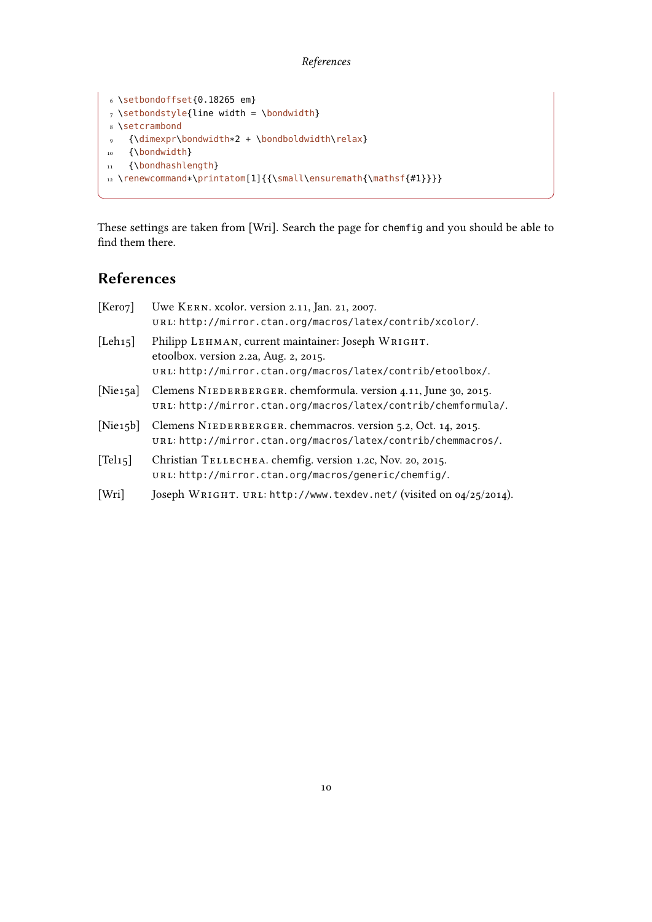### References

```
6 \setbondoffset{0.18265 em}
7 \setminussetbondstyle{line width = \bondwidth}
8 \setcrambond
9 {\dimexpr\bondwidth*2 + \bondboldwidth\relax}
10 {\bondwidth}
11 {\bondhashlength}
12 \renewcommand*\printatom[1]{{\small\ensuremath{\mathsf{#1}}}}
```
These settings are taken from [Wri]. Search the page for chemfig and you should be able to find them there.

# <span id="page-9-0"></span>References

| [Kero7]              | Uwe KERN. xcolor. version 2.11, Jan. 21, 2007.<br>URL: http://mirror.ctan.org/macros/latex/contrib/xcolor/.                                                |
|----------------------|------------------------------------------------------------------------------------------------------------------------------------------------------------|
| [Leh15]              | Philipp LEHMAN, current maintainer: Joseph WRIGHT.<br>etoolbox. version 2.2a, Aug. 2, 2015.<br>URL: http://mirror.ctan.org/macros/latex/contrib/etoolbox/. |
| [Nie <sub>15a]</sub> | Clemens NIEDERBERGER. chemformula. version 4.11, June 30, 2015.<br>unL: http://mirror.ctan.org/macros/latex/contrib/chemformula/.                          |
| [Nie15b]             | Clemens NIEDERBERGER. chemmacros. version 5.2, Oct. 14, 2015.<br>URL: http://mirror.ctan.org/macros/latex/contrib/chemmacros/.                             |
| $T$ el <sub>15</sub> | Christian TELLECHEA. chemfig. version 1.2c, Nov. 20, 2015.<br>URL: http://mirror.ctan.org/macros/generic/chemfig/.                                         |
| [Wri]                | Joseph WRIGHT. URL: http://www.texdev.net/ (visited on 04/25/2014).                                                                                        |